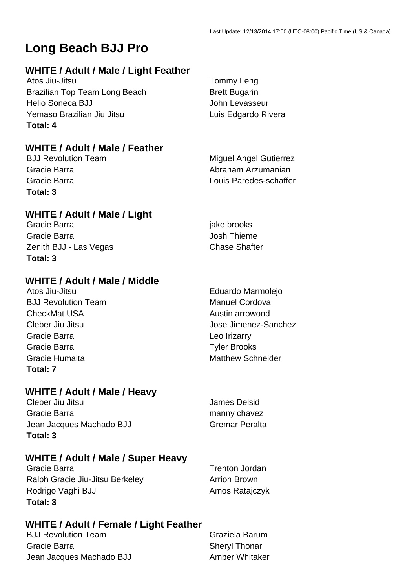# **Long Beach BJJ Pro**

## **WHITE / Adult / Male / Light Feather**

Atos Jiu-Jitsu Tommy Leng Brazilian Top Team Long Beach Brett Bugarin Helio Soneca BJJ John Levasseur Yemaso Brazilian Jiu Jitsu **Luis Edgardo Rivera Total: 4**

## **WHITE / Adult / Male / Feather**

**Total: 3**

## **WHITE / Adult / Male / Light**

Gracie Barra in the settlement of the settlement of the settlement of the settlement of the settlement of the settlement of the settlement of the settlement of the settlement of the settlement of the settlement of the sett Gracie Barra **Gracie Barra** Josh Thieme Zenith BJJ - Las Vegas Chase Shafter **Total: 3**

## **WHITE / Adult / Male / Middle**

**BJJ Revolution Team Manuel Cordova** CheckMat USA **Austin** arrowood Gracie Barra **Leo Irizarry** Cracie Barra Gracie Barra **Tyler Brooks** Gracie Humaita **Matthew Schneider** Matthew Schneider **Total: 7**

## **WHITE / Adult / Male / Heavy**

Cleber Jiu Jitsu James Delsid Gracie Barra **manny chavez** manny chavez Jean Jacques Machado BJJ Gremar Peralta **Total: 3**

## **WHITE / Adult / Male / Super Heavy**

Gracie Barra **Trenton Jordan** Ralph Gracie Jiu-Jitsu Berkeley **Arrion Brown** Rodrigo Vaghi BJJ Amos Ratajczyk **Total: 3**

**WHITE / Adult / Female / Light Feather**

**BJJ Revolution Team Graziela Barum** Gracie Barra **Sheryl Thonar** Sheryl Thonar Jean Jacques Machado BJJ Amber Whitaker

BJJ Revolution Team Miguel Angel Gutierrez Gracie Barra **Abraham Arzumanian** Gracie Barra Louis Paredes-schaffer

Atos Jiu-Jitsu **Eduardo Marmolejo** Cleber Jiu Jitsu Jose Jimenez-Sanchez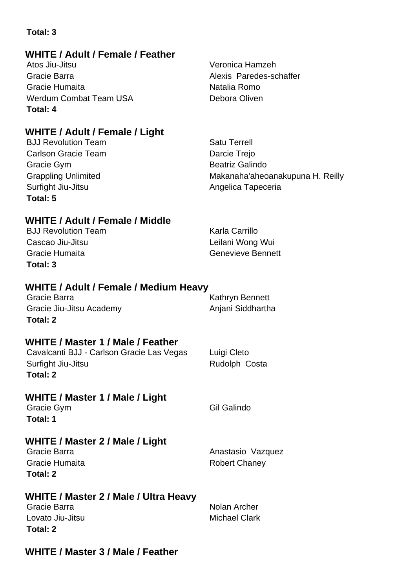## **WHITE / Adult / Female / Feather**

Atos Jiu-Jitsu Veronica Hamzeh Gracie Barra **Alexis** Paredes-schaffer Gracie Humaita Natalia Romo Werdum Combat Team USA Debora Oliven **Total: 4**

## **WHITE / Adult / Female / Light**

**BJJ Revolution Team Satu Terrell** Carlson Gracie Team **Darcie Trejo** Gracie Gym **Beatrick** Galindo Surfight Jiu-Jitsu **Angelica Tapeceria** Angelica Tapeceria **Total: 5**

Grappling Unlimited **Makanaha'aheoanakupuna H. Reilly** 

## **WHITE / Adult / Female / Middle**

BJJ Revolution Team Karla Carrillo Cascao Jiu-Jitsu Leilani Wong Wui Gracie Humaita Genevieve Bennett **Total: 3**

## **WHITE / Adult / Female / Medium Heavy**

| Gracie Barra             | Kathryn Bennett   |
|--------------------------|-------------------|
| Gracie Jiu-Jitsu Academy | Anjani Siddhartha |
| Total: 2                 |                   |

## **WHITE / Master 1 / Male / Feather**

Cavalcanti BJJ - Carlson Gracie Las Vegas Luigi Cleto Surfight Jiu-Jitsu **Rudolph Costa Total: 2**

## **WHITE / Master 1 / Male / Light**

Gracie Gym Gil Galindo **Total: 1**

## **WHITE / Master 2 / Male / Light**

Gracie Barra **Anastasio** Vazquez Gracie Humaita **Robert Chaney Total: 2**

## **WHITE / Master 2 / Male / Ultra Heavy**

Gracie Barra **Nolan Archer** Nolan Archer Lovato Jiu-Jitsu **Michael Clark Total: 2**

## **WHITE / Master 3 / Male / Feather**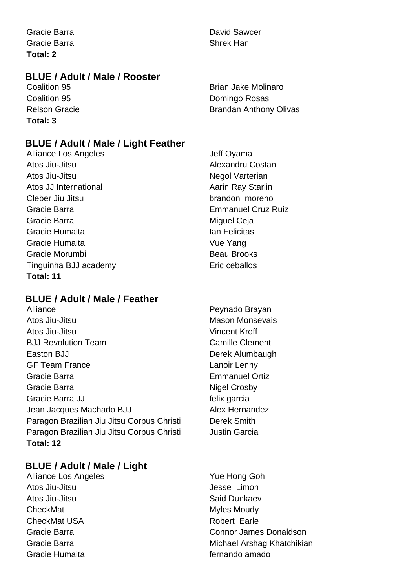Gracie Barra **David Sawcer David Sawcer** Gracie Barra **Shrek Han Total: 2**

## **BLUE / Adult / Male / Rooster**

**Coalition 95 Brian Jake Molinaro Total: 3**

**Coalition 95 Coalition 95** Domingo Rosas Relson Gracie **Brandan Anthony Olivas** Brandan Anthony Olivas

## **BLUE / Adult / Male / Light Feather**

Alliance Los Angeles **Jeff Oyama** Atos Jiu-Jitsu Alexandru Costan Atos Jiu-Jitsu **Negol Varterian** Atos JJ International **Access 19 Aarin Ray Starlin** Cleber Jiu Jitsu brandon moreno Gracie Barra Emmanuel Cruz Ruiz Gracie Barra **Miguel Ceja** Miguel Ceja Gracie Humaita **Ian Felicitas** Gracie Humaita Vue Yang Gracie Morumbi **Beau Brooks** Tinguinha BJJ academy Eric ceballos **Total: 11**

## **BLUE / Adult / Male / Feather**

Alliance **Peynado Brayan** Atos Jiu-Jitsu Mason Monsevais Atos Jiu-Jitsu Vincent Kroff BJJ Revolution Team Camille Clement Easton BJJ Derek Alumbaugh GF Team France Lanoir Lenny Gracie Barra Emmanuel Ortiz Gracie Barra **Nigel Crosby** Gracie Barra JJ **Felix garcia** Jean Jacques Machado BJJ Alex Hernandez Paragon Brazilian Jiu Jitsu Corpus Christi Derek Smith Paragon Brazilian Jiu Jitsu Corpus Christi **Justin Garcia Total: 12**

## **BLUE / Adult / Male / Light**

Alliance Los Angeles **Yue Hong Goh** Atos Jiu-Jitsu **Jesse** Limon Atos Jiu-Jitsu National Said Dunkaev CheckMat **Myles Moudy** CheckMat CheckMat USA Robert Earle Gracie Humaita **fernando** amado

- 
- 
- Gracie Barra Connor James Donaldson Gracie Barra **Michael Arshag Khatchikian**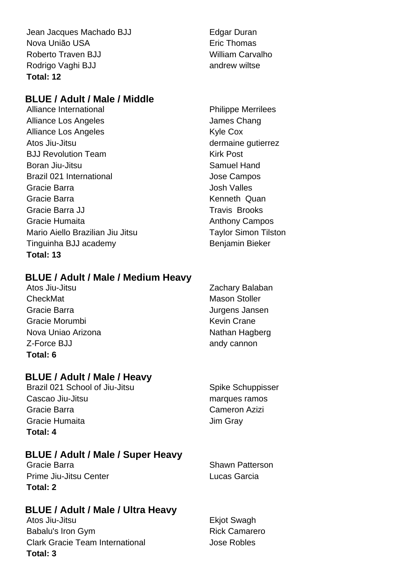Jean Jacques Machado BJJ **Edgar Duran** Nova União USA estado e a estado en Eric Thomas Roberto Traven BJJ William Carvalho Rodrigo Vaghi BJJ andrew wiltse **Total: 12**

## **BLUE / Adult / Male / Middle**

Alliance International **Philippe Merrilees** Alliance Los Angeles **James Chang** Alliance Los Angeles Kyle Cox Atos Jiu-Jitsu dermaine gutierrez BJJ Revolution Team Kirk Post Boran Jiu-Jitsu Samuel Hand Brazil 021 International **Brazil 021** International Gracie Barra **Gracia** Josh Valles Gracie Barra **Kenneth Quan** Gracie Barra JJ Travis Brooks Gracie Humaita **Anthony Campos** Anthony Campos Mario Aiello Brazilian Jiu Jitsu **Taylor Simon Tilston** Tinguinha BJJ academy Benjamin Bieker **Total: 13**

## **BLUE / Adult / Male / Medium Heavy**

Atos Jiu-Jitsu **Zachary Balaban** CheckMat Mason Stoller Gracie Barra Jurgens Jansen Gracie Morumbi **Kevin Crane** Nova Uniao Arizona **Nathan Hagberg** Nathan Hagberg Z-Force BJJ andy cannon **Total: 6**

## **BLUE / Adult / Male / Heavy**

Brazil 021 School of Jiu-Jitsu Spike Schuppisser Cascao Jiu-Jitsu **marques ramos** marques ramos Gracie Barra Cameron Azizi Gracie Humaita **Gracia** Jim Gray **Total: 4**

## **BLUE / Adult / Male / Super Heavy**

Gracie Barra **Shawn Patterson** Shawn Patterson Prime Jiu-Jitsu Center **Lucas** Garcia **Total: 2**

## **BLUE / Adult / Male / Ultra Heavy**

Atos Jiu-Jitsu **Ekjot Swagh** Babalu's Iron Gym **Babalu's Iron Gym** Rick Camarero Clark Gracie Team International **Clark Gracie Team International Total: 3**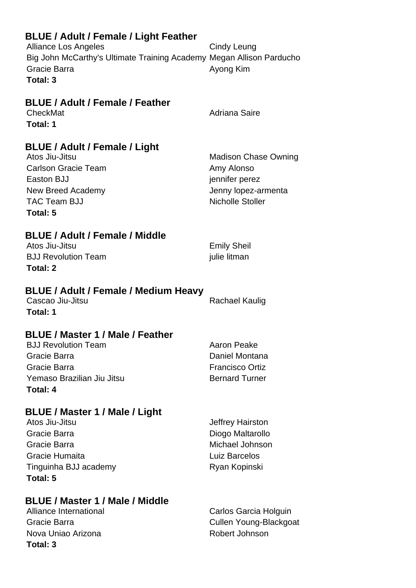| <b>BLUE / Adult / Female / Light Feather</b><br><b>Alliance Los Angeles</b><br>Big John McCarthy's Ultimate Training Academy Megan Allison Parducho<br>Gracie Barra<br>Total: 3 | Cindy Leung<br>Ayong Kim                                                                                      |
|---------------------------------------------------------------------------------------------------------------------------------------------------------------------------------|---------------------------------------------------------------------------------------------------------------|
| <b>BLUE / Adult / Female / Feather</b><br>CheckMat<br>Total: 1                                                                                                                  | <b>Adriana Saire</b>                                                                                          |
| <b>BLUE / Adult / Female / Light</b><br>Atos Jiu-Jitsu<br><b>Carlson Gracie Team</b><br>Easton BJJ<br>New Breed Academy<br><b>TAC Team BJJ</b><br>Total: 5                      | <b>Madison Chase Owning</b><br>Amy Alonso<br>jennifer perez<br>Jenny lopez-armenta<br><b>Nicholle Stoller</b> |
| <b>BLUE / Adult / Female / Middle</b><br>Atos Jiu-Jitsu<br><b>BJJ Revolution Team</b><br>Total: 2                                                                               | <b>Emily Sheil</b><br>julie litman                                                                            |
| <b>BLUE / Adult / Female / Medium Heavy</b><br>Cascao Jiu-Jitsu<br>Total: 1                                                                                                     | <b>Rachael Kaulig</b>                                                                                         |
| <b>BLUE / Master 1 / Male / Feather</b><br><b>BJJ Revolution Team</b><br>Gracie Barra<br>Gracie Barra<br>Yemaso Brazilian Jiu Jitsu<br><b>Total: 4</b>                          | Aaron Peake<br>Daniel Montana<br><b>Francisco Ortiz</b><br><b>Bernard Turner</b>                              |
| BLUE / Master 1 / Male / Light<br>Atos Jiu-Jitsu<br>Gracie Barra<br>Gracie Barra<br>Gracie Humaita<br>Tinguinha BJJ academy<br>Total: 5                                         | Jeffrey Hairston<br>Diogo Maltarollo<br>Michael Johnson<br><b>Luiz Barcelos</b><br>Ryan Kopinski              |
| <b>BLUE / Master 1 / Male / Middle</b><br>Alliance International<br>Gracie Barra<br>Nova Uniao Arizona                                                                          | Carlos Garcia Holguin<br>Cullen Young-Blackgoat<br>Robert Johnson                                             |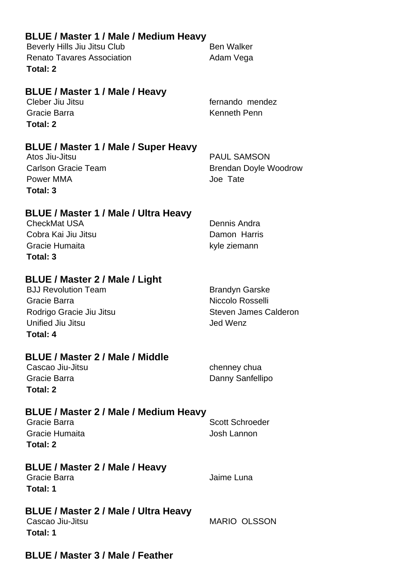| <b>BLUE / Master 1 / Male / Medium Heavy</b><br>Beverly Hills Jiu Jitsu Club                                                              | <b>Ben Walker</b>                                                                            |
|-------------------------------------------------------------------------------------------------------------------------------------------|----------------------------------------------------------------------------------------------|
| <b>Renato Tavares Association</b>                                                                                                         | Adam Vega                                                                                    |
| Total: 2                                                                                                                                  |                                                                                              |
| <b>BLUE / Master 1 / Male / Heavy</b><br>Cleber Jiu Jitsu<br>Gracie Barra<br>Total: 2                                                     | fernando mendez<br>Kenneth Penn                                                              |
| BLUE / Master 1 / Male / Super Heavy<br>Atos Jiu-Jitsu<br><b>Carlson Gracie Team</b><br>Power MMA<br>Total: 3                             | <b>PAUL SAMSON</b><br><b>Brendan Doyle Woodrow</b><br>Joe Tate                               |
| <b>BLUE / Master 1 / Male / Ultra Heavy</b><br><b>CheckMat USA</b><br>Cobra Kai Jiu Jitsu<br>Gracie Humaita<br>Total: 3                   | Dennis Andra<br>Damon Harris<br>kyle ziemann                                                 |
| BLUE / Master 2 / Male / Light<br><b>BJJ Revolution Team</b><br>Gracie Barra<br>Rodrigo Gracie Jiu Jitsu<br>Unified Jiu Jitsu<br>Total: 4 | <b>Brandyn Garske</b><br>Niccolo Rosselli<br><b>Steven James Calderon</b><br><b>Jed Wenz</b> |
| <b>BLUE / Master 2 / Male / Middle</b><br>Cascao Jiu-Jitsu<br>Gracie Barra<br>Total: 2                                                    | chenney chua<br>Danny Sanfellipo                                                             |
| BLUE / Master 2 / Male / Medium Heavy<br>Gracie Barra<br>Gracie Humaita<br>Total: 2                                                       | <b>Scott Schroeder</b><br>Josh Lannon                                                        |
| <b>BLUE / Master 2 / Male / Heavy</b><br>Gracie Barra<br>Total: 1                                                                         | Jaime Luna                                                                                   |
| BLUE / Master 2 / Male / Ultra Heavy<br>Cascao Jiu-Jitsu<br>Total: 1                                                                      | <b>MARIO OLSSON</b>                                                                          |

## **BLUE / Master 3 / Male / Feather**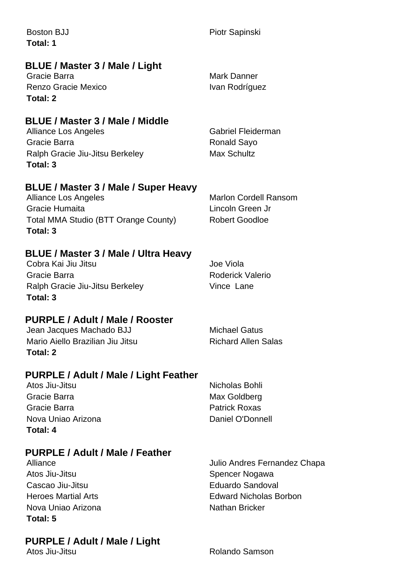| <b>Boston BJJ</b>                           | Piotr Sapinski               |
|---------------------------------------------|------------------------------|
| Total: 1                                    |                              |
| BLUE / Master 3 / Male / Light              |                              |
| Gracie Barra                                | Mark Danner                  |
| Renzo Gracie Mexico                         | Ivan Rodríguez               |
| Total: 2                                    |                              |
| BLUE / Master 3 / Male / Middle             |                              |
| Alliance Los Angeles                        | Gabriel Fleiderman           |
| Gracie Barra                                | Ronald Sayo                  |
| Ralph Gracie Jiu-Jitsu Berkeley             | <b>Max Schultz</b>           |
| Total: 3                                    |                              |
| <b>BLUE / Master 3 / Male / Super Heavy</b> |                              |
| Alliance Los Angeles                        | <b>Marlon Cordell Ransom</b> |
| Gracie Humaita                              | Lincoln Green Jr             |
| Total MMA Studio (BTT Orange County)        | <b>Robert Goodloe</b>        |

## **BLUE / Master 3 / Male / Ultra Heavy**

Cobra Kai Jiu Jitsu Joe Viola Gracie Barra **Roderick Valerio** Roderick Valerio Ralph Gracie Jiu-Jitsu Berkeley Vince Lane **Total: 3**

**Total: 3**

## **PURPLE / Adult / Male / Rooster**

Jean Jacques Machado BJJ Michael Gatus Mario Aiello Brazilian Jiu Jitsu **Richard Allen Salas Total: 2**

## **PURPLE / Adult / Male / Light Feather**

| Atos Jiu-Jitsu     | Nicholas Bohli       |
|--------------------|----------------------|
| Gracie Barra       | Max Goldberg         |
| Gracie Barra       | <b>Patrick Roxas</b> |
| Nova Uniao Arizona | Daniel O'Donnell     |
| Total: 4           |                      |

## **PURPLE / Adult / Male / Feather**

Alliance Julio Andres Fernandez Chapa Atos Jiu-Jitsu **Spencer Nogawa** Cascao Jiu-Jitsu **Eduardo Sandoval** Nova Uniao Arizona Nathan Bricker **Total: 5**

## **PURPLE / Adult / Male / Light**

Heroes Martial Arts **Edward Nicholas Borbon** 

Atos Jiu-Jitsu **Atos Jiu-Jitsu Rolando Samson**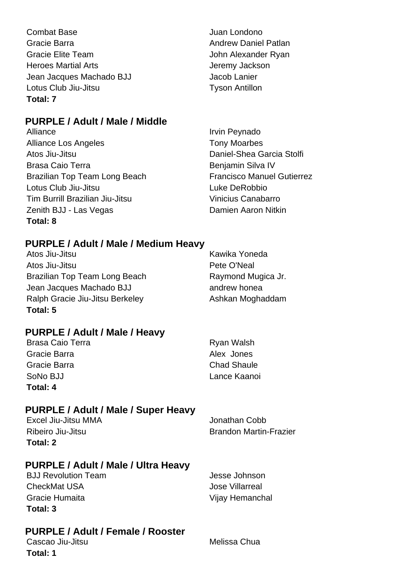| <b>Combat Base</b>         | Juan Londono          |
|----------------------------|-----------------------|
| Gracie Barra               | <b>Andrew Daniel</b>  |
| Gracie Elite Team          | John Alexande         |
| <b>Heroes Martial Arts</b> | Jeremy Jackso         |
| Jean Jacques Machado BJJ   | Jacob Lanier          |
| Lotus Club Jiu-Jitsu       | <b>Tyson Antillon</b> |
| Total: 7                   |                       |

## **PURPLE / Adult / Male / Middle**

Alliance Irvin Peynado Alliance Los Angeles Tony Moarbes Atos Jiu-Jitsu Daniel-Shea Garcia Stolfi Brasa Caio Terra **Brasa Caio Terra Benjamin Silva IV** Brazilian Top Team Long Beach Francisco Manuel Gutierrez Lotus Club Jiu-Jitsu **Luke DeRobbio** Tim Burrill Brazilian Jiu-Jitsu **Vinicius Canabarro** Zenith BJJ - Las Vegas **Damien Aaron Nitkin Total: 8**

Andrew Daniel Patlan John Alexander Ryan Jeremy Jackson Jacob Lanier **Tyson Antillon** 

## **PURPLE / Adult / Male / Medium Heavy**

Atos Jiu-Jitsu **Kawika Yoneda** Atos Jiu-Jitsu Pete O'Neal Brazilian Top Team Long Beach Raymond Mugica Jr. Jean Jacques Machado BJJ andrew honea Ralph Gracie Jiu-Jitsu Berkeley **Ashkan Moghaddam Total: 5**

## **PURPLE / Adult / Male / Heavy**

Brasa Caio Terra **Ryan Walsh** Gracie Barra **Alex Jones** Alex Jones Gracie Barra Chad Shaule SoNo BJJ Lance Kaanoi **Total: 4**

## **PURPLE / Adult / Male / Super Heavy**

| Total: 2            |                               |
|---------------------|-------------------------------|
| Ribeiro Jiu-Jitsu   | <b>Brandon Martin-Frazier</b> |
| Excel Jiu-Jitsu MMA | Jonathan Cobb                 |

## **PURPLE / Adult / Male / Ultra Heavy**

BJJ Revolution Team Jesse Johnson CheckMat USA Jose Villarreal Gracie Humaita **Vijay Hemanchal Total: 3**

## **PURPLE / Adult / Female / Rooster**

Cascao Jiu-Jitsu **Melissa** Chua **Total: 1**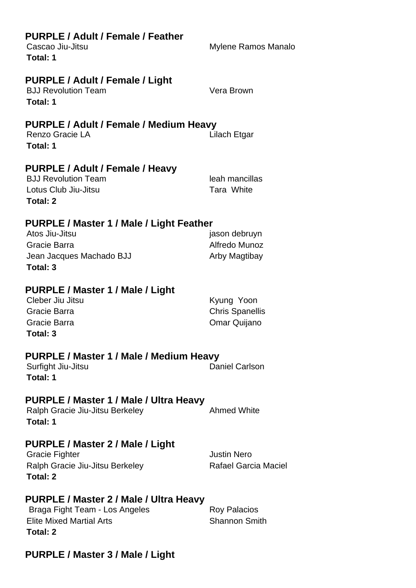| PURPLE / Adult / Female / Feather<br>Cascao Jiu-Jitsu<br>Total: 1                                                       | Mylene Ramos Manalo                                  |
|-------------------------------------------------------------------------------------------------------------------------|------------------------------------------------------|
| <b>PURPLE / Adult / Female / Light</b><br><b>BJJ Revolution Team</b><br>Total: 1                                        | Vera Brown                                           |
| PURPLE / Adult / Female / Medium Heavy<br>Renzo Gracie LA<br>Total: 1                                                   | Lilach Etgar                                         |
| PURPLE / Adult / Female / Heavy<br><b>BJJ Revolution Team</b><br>Lotus Club Jiu-Jitsu<br>Total: 2                       | leah mancillas<br>Tara White                         |
| PURPLE / Master 1 / Male / Light Feather<br>Atos Jiu-Jitsu<br>Gracie Barra<br>Jean Jacques Machado BJJ<br>Total: 3      | jason debruyn<br>Alfredo Munoz<br>Arby Magtibay      |
| PURPLE / Master 1 / Male / Light<br>Cleber Jiu Jitsu<br>Gracie Barra<br>Gracie Barra<br>Total: 3                        | Kyung Yoon<br><b>Chris Spanellis</b><br>Omar Quijano |
| PURPLE / Master 1 / Male / Medium Heavy<br>Surfight Jiu-Jitsu<br>Total: 1                                               | Daniel Carlson                                       |
| PURPLE / Master 1 / Male / Ultra Heavy<br>Ralph Gracie Jiu-Jitsu Berkeley<br>Total: 1                                   | <b>Ahmed White</b>                                   |
| PURPLE / Master 2 / Male / Light<br><b>Gracie Fighter</b><br>Ralph Gracie Jiu-Jitsu Berkeley<br>Total: 2                | <b>Justin Nero</b><br>Rafael Garcia Maciel           |
| PURPLE / Master 2 / Male / Ultra Heavy<br>Braga Fight Team - Los Angeles<br><b>Elite Mixed Martial Arts</b><br>Total: 2 | <b>Roy Palacios</b><br><b>Shannon Smith</b>          |

## **PURPLE / Master 3 / Male / Light**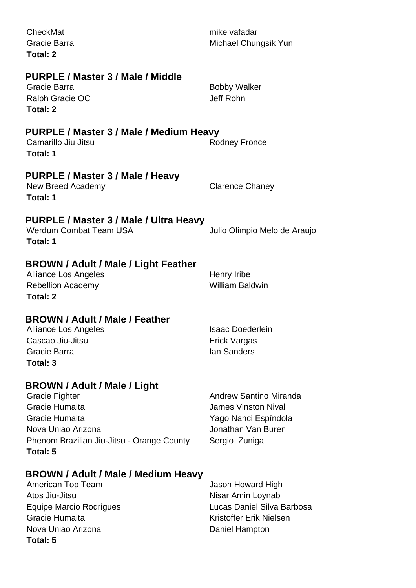| CheckMat<br>Gracie Barra<br><b>Total: 2</b>                                                                                                                        | mike vafadar<br>Michael Chungsik Yun                                                                                       |
|--------------------------------------------------------------------------------------------------------------------------------------------------------------------|----------------------------------------------------------------------------------------------------------------------------|
| PURPLE / Master 3 / Male / Middle<br>Gracie Barra<br>Ralph Gracie OC<br>Total: 2                                                                                   | <b>Bobby Walker</b><br>Jeff Rohn                                                                                           |
| PURPLE / Master 3 / Male / Medium Heavy<br>Camarillo Jiu Jitsu<br>Total: 1                                                                                         | <b>Rodney Fronce</b>                                                                                                       |
| PURPLE / Master 3 / Male / Heavy<br>New Breed Academy<br>Total: 1                                                                                                  | <b>Clarence Chaney</b>                                                                                                     |
| PURPLE / Master 3 / Male / Ultra Heavy<br><b>Werdum Combat Team USA</b><br>Total: 1                                                                                | Julio Olimpio Melo de Araujo                                                                                               |
| BROWN / Adult / Male / Light Feather<br>Alliance Los Angeles<br><b>Rebellion Academy</b><br><b>Total: 2</b>                                                        | Henry Iribe<br><b>William Baldwin</b>                                                                                      |
| <b>BROWN / Adult / Male / Feather</b><br><b>Alliance Los Angeles</b><br>Cascao Jiu-Jitsu<br>Gracie Barra<br>Total: 3                                               | <b>Isaac Doederlein</b><br><b>Erick Vargas</b><br><b>lan Sanders</b>                                                       |
| BROWN / Adult / Male / Light<br>Gracie Fighter<br>Gracie Humaita<br>Gracie Humaita<br>Nova Uniao Arizona<br>Phenom Brazilian Jiu-Jitsu - Orange County<br>Total: 5 | <b>Andrew Santino Miranda</b><br><b>James Vinston Nival</b><br>Yago Nanci Espíndola<br>Jonathan Van Buren<br>Sergio Zuniga |
| BROWN / Adult / Male / Medium Heavy<br>American Top Team<br>Atos Jiu-Jitsu<br><b>Equipe Marcio Rodrigues</b><br>Gracie Humaita<br>Nova Uniao Arizona<br>Total: 5   | Jason Howard High<br>Nisar Amin Loynab<br>Lucas Daniel Silva Barbosa<br>Kristoffer Erik Nielsen<br>Daniel Hampton          |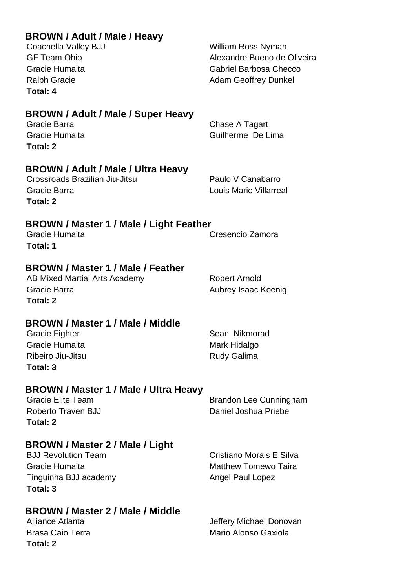| <b>BROWN / Adult / Male / Heavy</b> |  |
|-------------------------------------|--|
|-------------------------------------|--|

Coachella Valley BJJ William Ross Nyman GF Team Ohio **Alexandre Bueno de Oliveira** Gracie Humaita Gabriel Barbosa Checco Ralph Gracie **Adam Geoffrey Dunkel** 

## **BROWN / Adult / Male / Super Heavy**

Gracie Barra **Chase A Tagart** Chase A Tagart Gracie Humaita Guilherme De Lima **Total: 2**

## **BROWN / Adult / Male / Ultra Heavy**

Crossroads Brazilian Jiu-Jitsu **Paulo V Canabarro** Gracie Barra Louis Mario Villarreal **Total: 2**

## **BROWN / Master 1 / Male / Light Feather**

Gracie Humaita Cresencio Zamora **Total: 1**

## **BROWN / Master 1 / Male / Feather**

AB Mixed Martial Arts Academy Robert Arnold Gracie Barra **Aubrey Isaac Koenig** Aubrey Isaac Koenig **Total: 2**

## **BROWN / Master 1 / Male / Middle**

Gracie Fighter Sean Nikmorad Gracie Humaita **Mark Hidalgo** Mark Hidalgo Ribeiro Jiu-Jitsu **Rudy Galima Total: 3**

## **BROWN / Master 1 / Male / Ultra Heavy**

**Total: 2**

Gracie Elite Team Brandon Lee Cunningham Roberto Traven BJJ Daniel Joshua Priebe

## **BROWN / Master 2 / Male / Light**

Gracie Humaita **Matthew Tomewo Taira** Matthew Tomewo Taira Tinguinha BJJ academy Angel Paul Lopez **Total: 3**

BJJ Revolution Team **Cristiano Morais E** Silva

## **BROWN / Master 2 / Male / Middle**

**Total: 2**

Alliance Atlanta **Jeffery Michael Donovan** Brasa Caio Terra **Mario Alonso Gaxiola**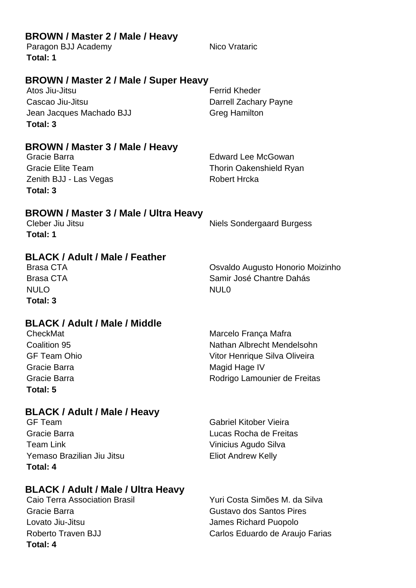| Paragon BJJ Academy<br>Total: 1                                                                                                     | Nico Vrataric                                                                                                                        |
|-------------------------------------------------------------------------------------------------------------------------------------|--------------------------------------------------------------------------------------------------------------------------------------|
| BROWN / Master 2 / Male / Super Heavy<br>Atos Jiu-Jitsu<br>Cascao Jiu-Jitsu<br>Jean Jacques Machado BJJ<br>Total: 3                 | <b>Ferrid Kheder</b><br>Darrell Zachary Payne<br><b>Greg Hamilton</b>                                                                |
| BROWN / Master 3 / Male / Heavy<br>Gracie Barra<br><b>Gracie Elite Team</b><br>Zenith BJJ - Las Vegas<br>Total: 3                   | <b>Edward Lee McGowan</b><br><b>Thorin Oakenshield Ryan</b><br><b>Robert Hrcka</b>                                                   |
| <b>BROWN / Master 3 / Male / Ultra Heavy</b><br>Cleber Jiu Jitsu<br>Total: 1                                                        | <b>Niels Sondergaard Burgess</b>                                                                                                     |
| <b>BLACK / Adult / Male / Feather</b><br><b>Brasa CTA</b><br><b>Brasa CTA</b><br><b>NULO</b><br>Total: 3                            | Osvaldo Augusto Honorio Moizinho<br>Samir José Chantre Dahás<br><b>NUL0</b>                                                          |
| <b>BLACK / Adult / Male / Middle</b><br>CheckMat<br>Coalition 95<br><b>GF Team Ohio</b><br>Gracie Barra<br>Gracie Barra<br>Total: 5 | Marcelo França Mafra<br>Nathan Albrecht Mendelsohn<br>Vitor Henrique Silva Oliveira<br>Magid Hage IV<br>Rodrigo Lamounier de Freitas |
| <b>BLACK / Adult / Male / Heavy</b><br><b>GF Team</b><br>Gracie Barra<br><b>Team Link</b><br>Yemaso Brazilian Jiu Jitsu<br>Total: 4 | <b>Gabriel Kitober Vieira</b><br>Lucas Rocha de Freitas<br>Vinicius Agudo Silva<br><b>Eliot Andrew Kelly</b>                         |

# **BLACK / Adult / Male / Ultra Heavy**<br>Caio Terra Association Brasil

**BROWN / Master 2 / Male / Heavy**

**Total: 4**

Yuri Costa Simões M. da Silva Gracie Barra Gustavo dos Santos Pires Lovato Jiu-Jitsu **James Richard Puopolo** Roberto Traven BJJ **Carlos Eduardo de Araujo Farias**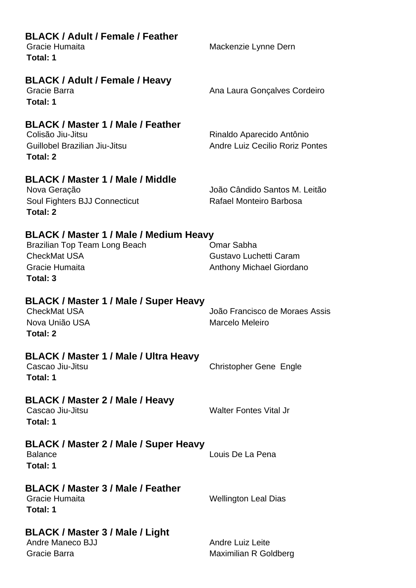| <b>BLACK / Adult / Female / Feather</b><br>Gracie Humaita<br>Total: 1                                                        | Mackenzie Lynne Dern                                                    |
|------------------------------------------------------------------------------------------------------------------------------|-------------------------------------------------------------------------|
| <b>BLACK / Adult / Female / Heavy</b><br>Gracie Barra<br>Total: 1                                                            | Ana Laura Gonçalves Cordeiro                                            |
| <b>BLACK / Master 1 / Male / Feather</b><br>Colisão Jiu-Jitsu<br>Guillobel Brazilian Jiu-Jitsu<br>Total: 2                   | Rinaldo Aparecido Antônio<br>Andre Luiz Cecilio Roriz Pontes            |
| <b>BLACK / Master 1 / Male / Middle</b><br>Nova Geração<br>Soul Fighters BJJ Connecticut<br>Total: 2                         | João Cândido Santos M. Leitão<br>Rafael Monteiro Barbosa                |
| BLACK / Master 1 / Male / Medium Heavy<br>Brazilian Top Team Long Beach<br><b>CheckMat USA</b><br>Gracie Humaita<br>Total: 3 | Omar Sabha<br>Gustavo Luchetti Caram<br><b>Anthony Michael Giordano</b> |
| BLACK / Master 1 / Male / Super Heavy<br><b>CheckMat USA</b><br>Nova União USA<br>Total: 2                                   | João Francisco de Moraes Assis<br>Marcelo Meleiro                       |
| <b>BLACK / Master 1 / Male / Ultra Heavy</b><br>Cascao Jiu-Jitsu<br>Total: 1                                                 | <b>Christopher Gene Engle</b>                                           |
| BLACK / Master 2 / Male / Heavy<br>Cascao Jiu-Jitsu<br>Total: 1                                                              | <b>Walter Fontes Vital Jr</b>                                           |
| <b>BLACK / Master 2 / Male / Super Heavy</b><br><b>Balance</b><br>Total: 1                                                   | Louis De La Pena                                                        |
| <b>BLACK / Master 3 / Male / Feather</b><br>Gracie Humaita<br>Total: 1                                                       | <b>Wellington Leal Dias</b>                                             |
| BLACK / Master 3 / Male / Light<br>Andre Maneco BJJ<br>Gracie Barra                                                          | <b>Andre Luiz Leite</b><br>Maximilian R Goldberg                        |